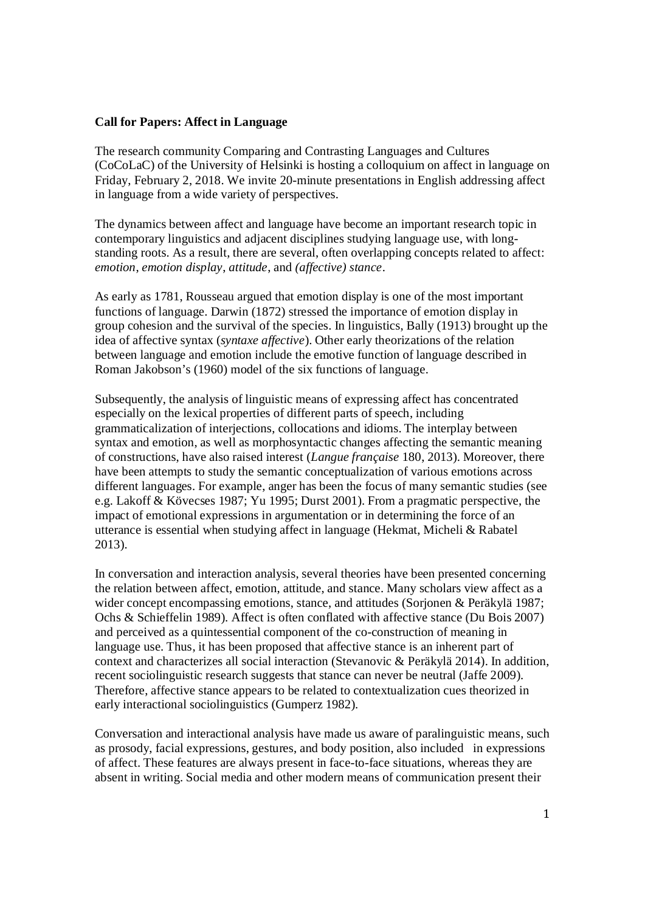## **Call for Papers: Affect in Language**

The research community Comparing and Contrasting Languages and Cultures (CoCoLaC) of the University of Helsinki is hosting a colloquium on affect in language on Friday, February 2, 2018. We invite 20-minute presentations in English addressing affect in language from a wide variety of perspectives.

The dynamics between affect and language have become an important research topic in contemporary linguistics and adjacent disciplines studying language use, with longstanding roots. As a result, there are several, often overlapping concepts related to affect: *emotion*, *emotion display*, *attitude*, and *(affective) stance*.

As early as 1781, Rousseau argued that emotion display is one of the most important functions of language. Darwin (1872) stressed the importance of emotion display in group cohesion and the survival of the species. In linguistics, Bally (1913) brought up the idea of affective syntax (*syntaxe affective*). Other early theorizations of the relation between language and emotion include the emotive function of language described in Roman Jakobson's (1960) model of the six functions of language.

Subsequently, the analysis of linguistic means of expressing affect has concentrated especially on the lexical properties of different parts of speech, including grammaticalization of interjections, collocations and idioms. The interplay between syntax and emotion, as well as morphosyntactic changes affecting the semantic meaning of constructions, have also raised interest (*Langue française* 180, 2013). Moreover, there have been attempts to study the semantic conceptualization of various emotions across different languages. For example, anger has been the focus of many semantic studies (see e.g. Lakoff & Kövecses 1987; Yu 1995; Durst 2001). From a pragmatic perspective, the impact of emotional expressions in argumentation or in determining the force of an utterance is essential when studying affect in language (Hekmat, Micheli & Rabatel 2013).

In conversation and interaction analysis, several theories have been presented concerning the relation between affect, emotion, attitude, and stance. Many scholars view affect as a wider concept encompassing emotions, stance, and attitudes (Sorjonen & Peräkylä 1987; Ochs & Schieffelin 1989). Affect is often conflated with affective stance (Du Bois 2007) and perceived as a quintessential component of the co-construction of meaning in language use. Thus, it has been proposed that affective stance is an inherent part of context and characterizes all social interaction (Stevanovic & Peräkylä 2014). In addition, recent sociolinguistic research suggests that stance can never be neutral (Jaffe 2009). Therefore, affective stance appears to be related to contextualization cues theorized in early interactional sociolinguistics (Gumperz 1982).

Conversation and interactional analysis have made us aware of paralinguistic means, such as prosody, facial expressions, gestures, and body position, also included in expressions of affect. These features are always present in face-to-face situations, whereas they are absent in writing. Social media and other modern means of communication present their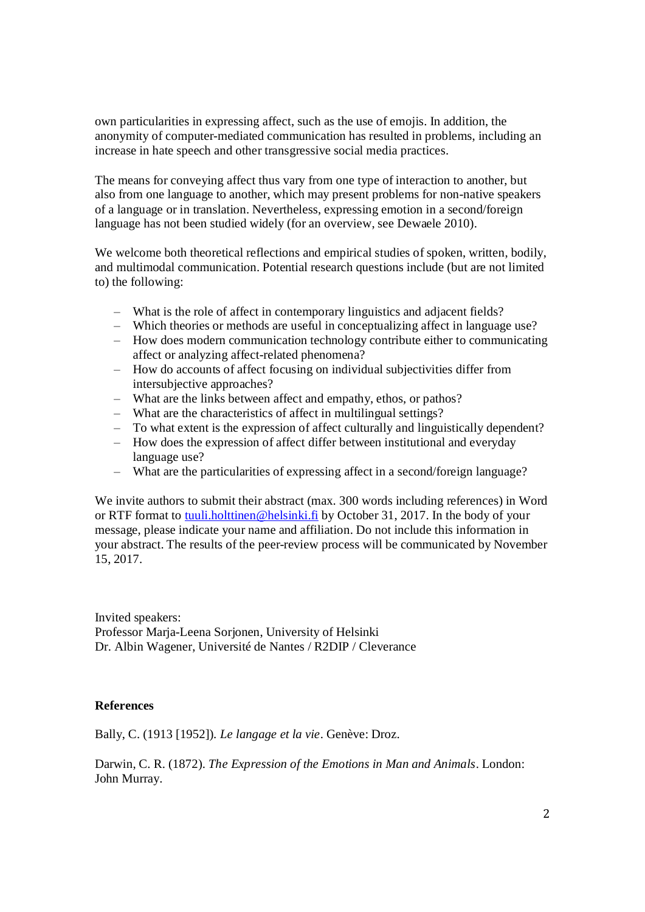own particularities in expressing affect, such as the use of emojis. In addition, the anonymity of computer-mediated communication has resulted in problems, including an increase in hate speech and other transgressive social media practices.

The means for conveying affect thus vary from one type of interaction to another, but also from one language to another, which may present problems for non-native speakers of a language or in translation. Nevertheless, expressing emotion in a second/foreign language has not been studied widely (for an overview, see Dewaele 2010).

We welcome both theoretical reflections and empirical studies of spoken, written, bodily, and multimodal communication. Potential research questions include (but are not limited to) the following:

- ‒ What is the role of affect in contemporary linguistics and adjacent fields?
- ‒ Which theories or methods are useful in conceptualizing affect in language use?
- ‒ How does modern communication technology contribute either to communicating affect or analyzing affect-related phenomena?
- ‒ How do accounts of affect focusing on individual subjectivities differ from intersubjective approaches?
- ‒ What are the links between affect and empathy, ethos, or pathos?
- ‒ What are the characteristics of affect in multilingual settings?
- ‒ To what extent is the expression of affect culturally and linguistically dependent?
- ‒ How does the expression of affect differ between institutional and everyday language use?
- ‒ What are the particularities of expressing affect in a second/foreign language?

We invite authors to submit their abstract (max. 300 words including references) in Word or RTF format to tuuli.holttinen@helsinki.fi by October 31, 2017. In the body of your message, please indicate your name and affiliation. Do not include this information in your abstract. The results of the peer-review process will be communicated by November 15, 2017.

Invited speakers: Professor Marja-Leena Sorjonen, University of Helsinki Dr. Albin Wagener, Université de Nantes / R2DIP / Cleverance

## **References**

Bally, C. (1913 [1952]). *Le langage et la vie*. Genève: Droz.

Darwin, C. R. (1872). *The Expression of the Emotions in Man and Animals*. London: John Murray.